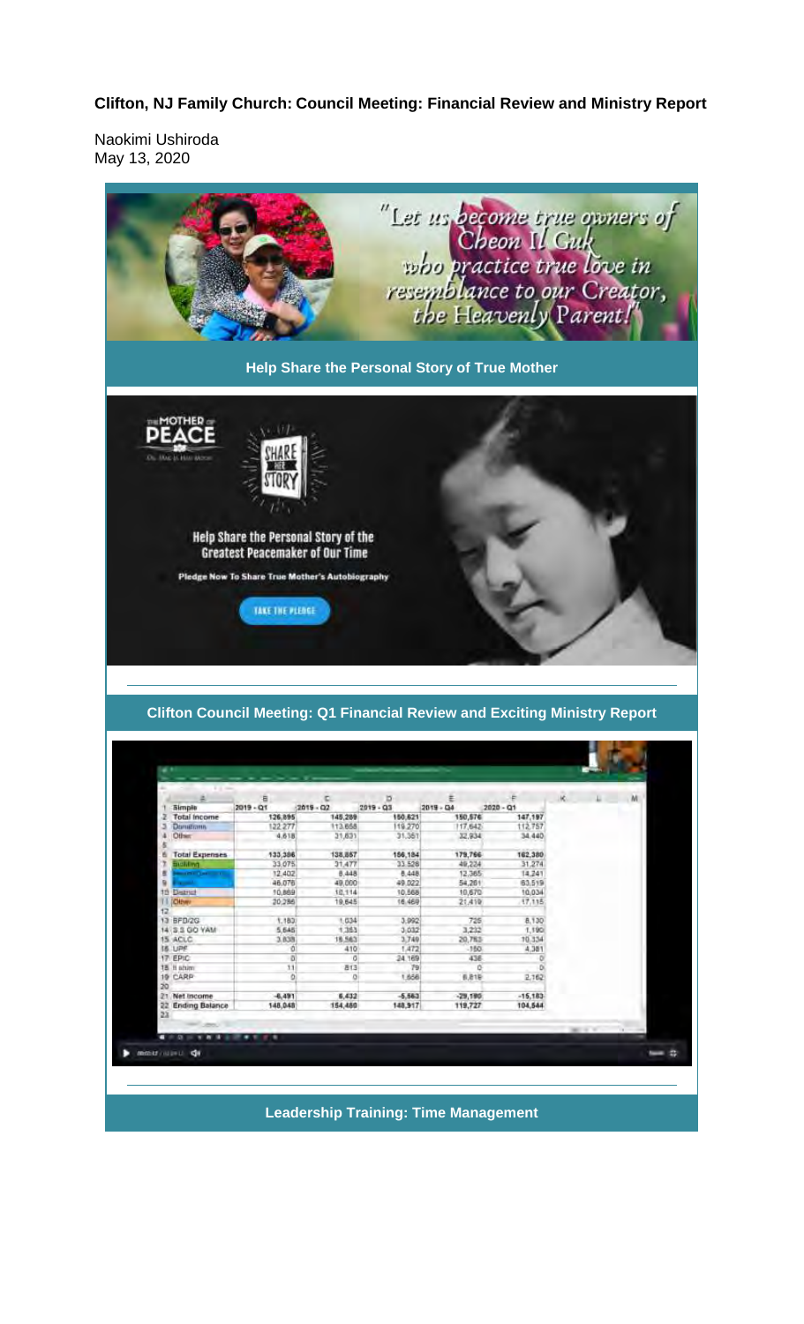## Clifton, NJ Family Church: Council Meeting: Financial Review and Ministry Report

Naokimi Ushiroda May 13, 2020



**Leadership Training: Time Management** 

3,992

 $3.032$ 

3,749

 $79$ <br>1,656

 $-6,683$ <br>148,917

 $1363$ 

 $\overline{a}$ 13

6,432

 $\circ$ 

16.563

3,838

 $\overline{0}$ 

 $-6,491$ <br>148,048

20<br>21 Net Income<br>22 Ending Balance

mean and de

725  $3,232$ <br> $30,783$ <br> $-150$ <br> $436$ 

6,819

-29,190<br>119,727

 $70,334$ <br>4,381

2,162

 $-15,183$ <br>104,544

 $=$  2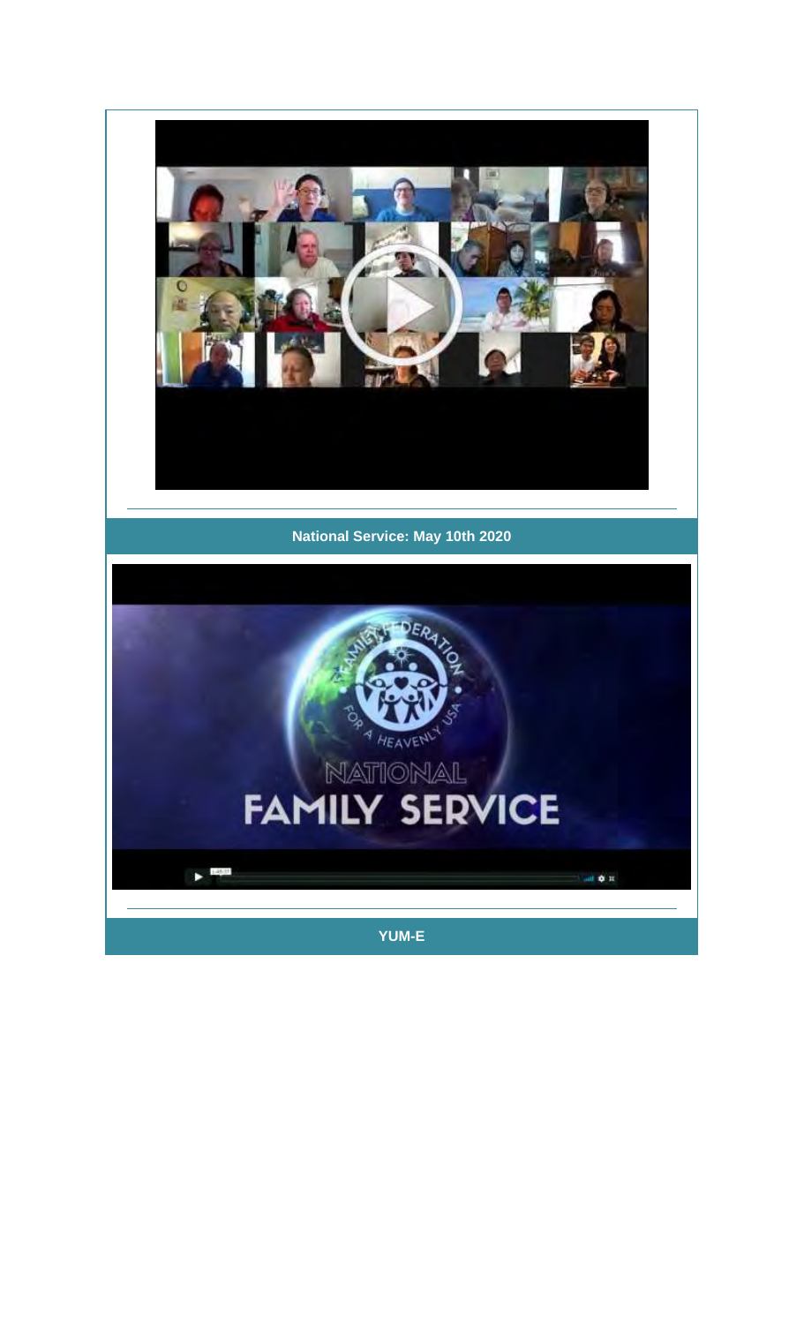

## **National Service: May 10th 2020**

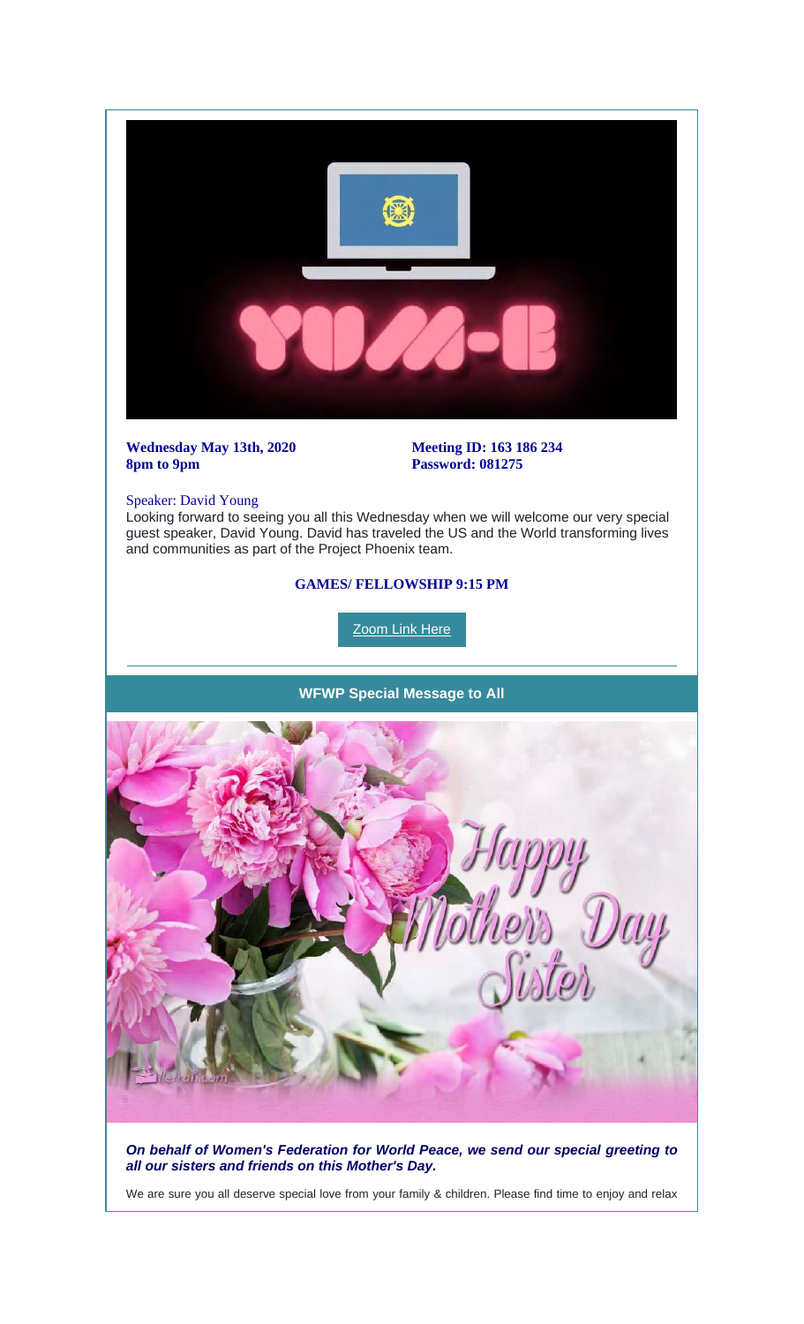

*On behalf of Women's Federation for World Peace, we send our special greeting to all our sisters and friends on this Mother's Day.*

We are sure you all deserve special love from your family & children. Please find time to enjoy and relax